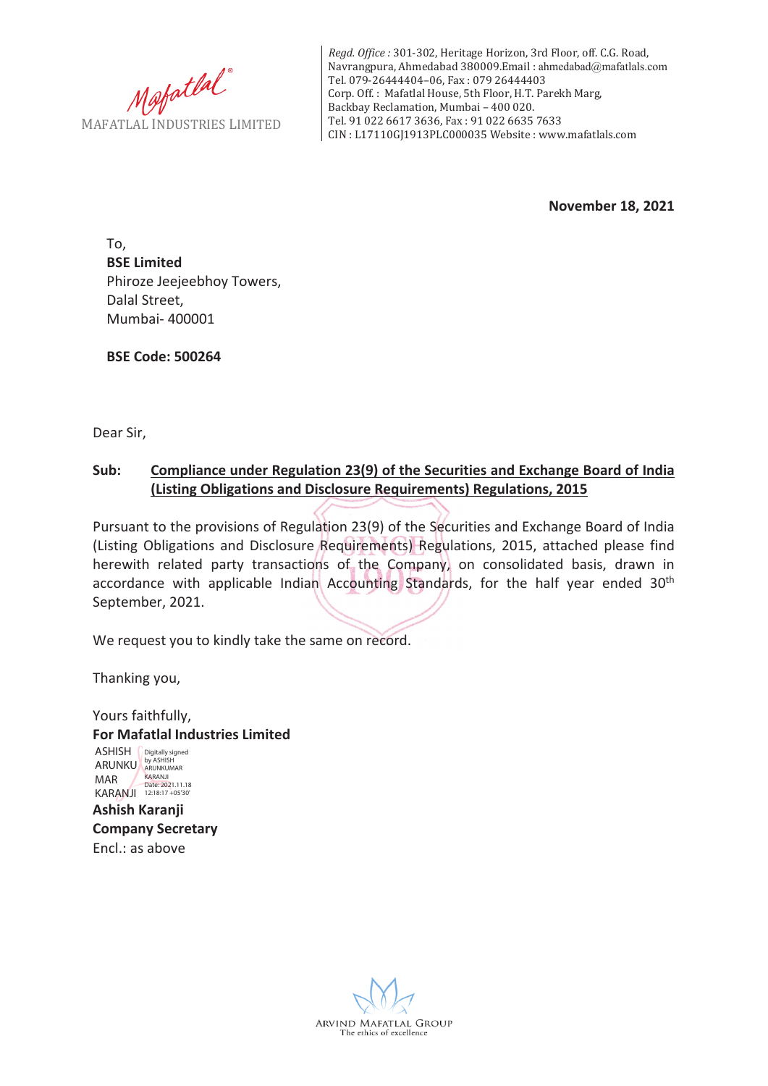Mafatlal MAFATLAL INDUSTRIES LIMITED

*Regd. Office :* 301-302, Heritage Horizon, 3rd Floor, off. C.G. Road, Navrangpura, Ahmedabad 380009.Email : ahmedabad@mafatlals.com Tel. 079-26444404–06, Fax : 079 26444403 Corp. Off. : Mafatlal House, 5th Floor, H.T. Parekh Marg, Backbay Reclamation, Mumbai – 400 020. Tel. 91 022 6617 3636, Fax : 91 022 6635 7633 CIN : L17110GJ1913PLC000035 Website : www.mafatlals.com

**November 18, 2021**

To, **BSE Limited** Phiroze Jeejeebhoy Towers, Dalal Street, Mumbai- 400001

**BSE Code: 500264**

Dear Sir,

## **Sub: Compliance under Regulation 23(9) of the Securities and Exchange Board of India (Listing Obligations and Disclosure Requirements) Regulations, 2015**

Pursuant to the provisions of Regulation 23(9) of the Securities and Exchange Board of India (Listing Obligations and Disclosure Requirements) Regulations, 2015, attached please find herewith related party transactions of the Company, on consolidated basis, drawn in accordance with applicable Indian Accounting Standards, for the half year ended 30<sup>th</sup> September, 2021.

We request you to kindly take the same on record.

Thanking you,

Yours faithfully, **For Mafatlal Industries Limited Ashish Karanji Company Secretary** Encl.: as above ASHISH **Digitally signed** ARUNKU ARUNKUMAR MAR KARANJI KARANJI<br>Date: 2021.11.18<br>12:18:17 +05'30'

ARVIND MAFATLAL GROUP The ethics of excellence